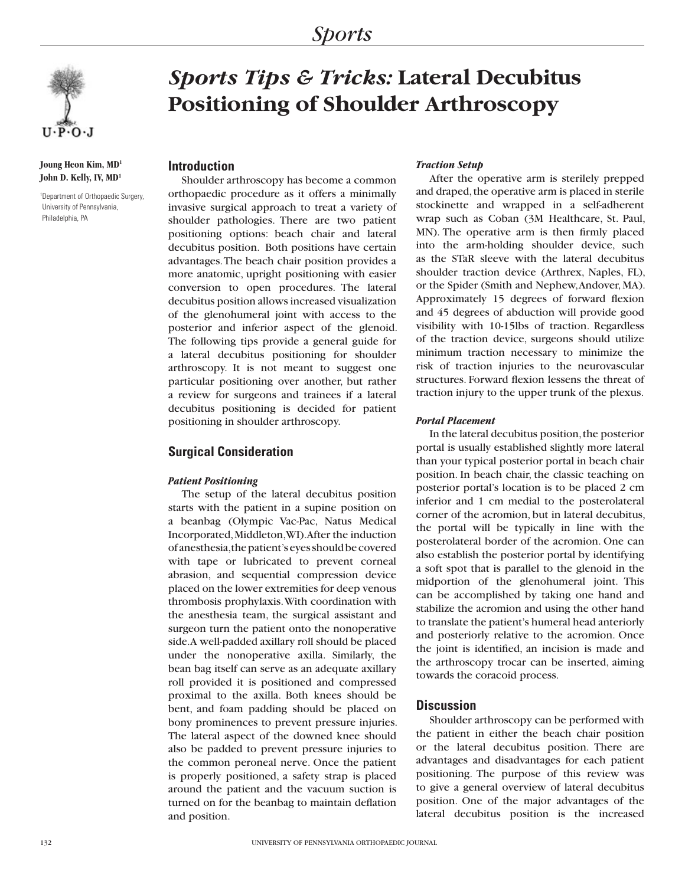

**Joung Heon Kim, MD1 John D. Kelly, IV, MD1**

1 Department of Orthopaedic Surgery, University of Pennsylvania, Philadelphia, PA

# *Sports Tips & Tricks:* **Lateral Decubitus Positioning of Shoulder Arthroscopy**

# **Introduction**

Shoulder arthroscopy has become a common orthopaedic procedure as it offers a minimally invasive surgical approach to treat a variety of shoulder pathologies. There are two patient positioning options: beach chair and lateral decubitus position. Both positions have certain advantages. The beach chair position provides a more anatomic, upright positioning with easier conversion to open procedures. The lateral decubitus position allows increased visualization of the glenohumeral joint with access to the posterior and inferior aspect of the glenoid. The following tips provide a general guide for a lateral decubitus positioning for shoulder arthroscopy. It is not meant to suggest one particular positioning over another, but rather a review for surgeons and trainees if a lateral decubitus positioning is decided for patient positioning in shoulder arthroscopy.

# **Surgical Consideration**

### *Patient Positioning*

The setup of the lateral decubitus position starts with the patient in a supine position on a beanbag (Olympic Vac-Pac, Natus Medical Incorporated, Middleton, WI). After the induction of anesthesia, the patient's eyes should be covered with tape or lubricated to prevent corneal abrasion, and sequential compression device placed on the lower extremities for deep venous thrombosis prophylaxis. With coordination with the anesthesia team, the surgical assistant and surgeon turn the patient onto the nonoperative side. A well-padded axillary roll should be placed under the nonoperative axilla. Similarly, the bean bag itself can serve as an adequate axillary roll provided it is positioned and compressed proximal to the axilla. Both knees should be bent, and foam padding should be placed on bony prominences to prevent pressure injuries. The lateral aspect of the downed knee should also be padded to prevent pressure injuries to the common peroneal nerve. Once the patient is properly positioned, a safety strap is placed around the patient and the vacuum suction is turned on for the beanbag to maintain deflation and position.

#### *Traction Setup*

After the operative arm is sterilely prepped and draped, the operative arm is placed in sterile stockinette and wrapped in a self-adherent wrap such as Coban (3M Healthcare, St. Paul, MN). The operative arm is then firmly placed into the arm-holding shoulder device, such as the STaR sleeve with the lateral decubitus shoulder traction device (Arthrex, Naples, FL), or the Spider (Smith and Nephew, Andover, MA). Approximately 15 degrees of forward flexion and 45 degrees of abduction will provide good visibility with 10-15lbs of traction. Regardless of the traction device, surgeons should utilize minimum traction necessary to minimize the risk of traction injuries to the neurovascular structures. Forward flexion lessens the threat of traction injury to the upper trunk of the plexus.

#### *Portal Placement*

In the lateral decubitus position, the posterior portal is usually established slightly more lateral than your typical posterior portal in beach chair position. In beach chair, the classic teaching on posterior portal's location is to be placed 2 cm inferior and 1 cm medial to the posterolateral corner of the acromion, but in lateral decubitus, the portal will be typically in line with the posterolateral border of the acromion. One can also establish the posterior portal by identifying a soft spot that is parallel to the glenoid in the midportion of the glenohumeral joint. This can be accomplished by taking one hand and stabilize the acromion and using the other hand to translate the patient's humeral head anteriorly and posteriorly relative to the acromion. Once the joint is identified, an incision is made and the arthroscopy trocar can be inserted, aiming towards the coracoid process.

# **Discussion**

Shoulder arthroscopy can be performed with the patient in either the beach chair position or the lateral decubitus position. There are advantages and disadvantages for each patient positioning. The purpose of this review was to give a general overview of lateral decubitus position. One of the major advantages of the lateral decubitus position is the increased